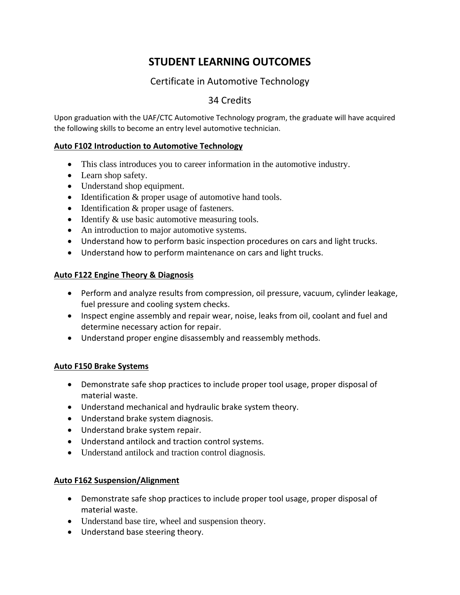# **STUDENT LEARNING OUTCOMES**

# Certificate in Automotive Technology

# 34 Credits

Upon graduation with the UAF/CTC Automotive Technology program, the graduate will have acquired the following skills to become an entry level automotive technician.

## **Auto F102 Introduction to Automotive Technology**

- This class introduces you to career information in the automotive industry.
- Learn shop safety.
- Understand shop equipment.
- Identification & proper usage of automotive hand tools.
- Identification & proper usage of fasteners.
- Identify & use basic automotive measuring tools.
- An introduction to major automotive systems.
- Understand how to perform basic inspection procedures on cars and light trucks.
- Understand how to perform maintenance on cars and light trucks.

## **Auto F122 Engine Theory & Diagnosis**

- Perform and analyze results from compression, oil pressure, vacuum, cylinder leakage, fuel pressure and cooling system checks.
- Inspect engine assembly and repair wear, noise, leaks from oil, coolant and fuel and determine necessary action for repair.
- Understand proper engine disassembly and reassembly methods.

## **Auto F150 Brake Systems**

- Demonstrate safe shop practices to include proper tool usage, proper disposal of material waste.
- Understand mechanical and hydraulic brake system theory.
- Understand brake system diagnosis.
- Understand brake system repair.
- Understand antilock and traction control systems.
- Understand antilock and traction control diagnosis.

## **Auto F162 Suspension/Alignment**

- Demonstrate safe shop practices to include proper tool usage, proper disposal of material waste.
- Understand base tire, wheel and suspension theory.
- Understand base steering theory.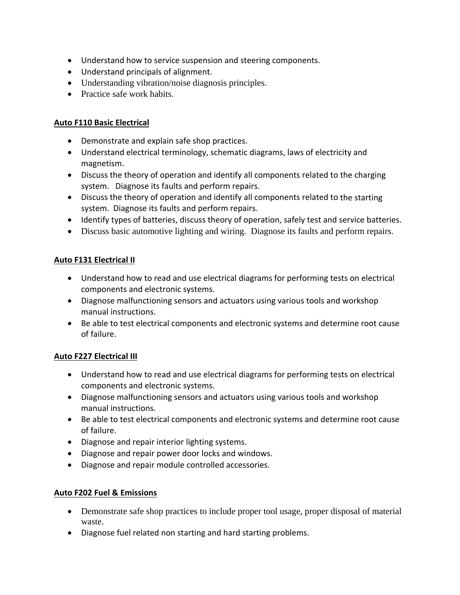- Understand how to service suspension and steering components.
- Understand principals of alignment.
- Understanding vibration/noise diagnosis principles.
- Practice safe work habits.

#### **Auto F110 Basic Electrical**

- Demonstrate and explain safe shop practices.
- Understand electrical terminology, schematic diagrams, laws of electricity and magnetism.
- Discuss the theory of operation and identify all components related to the charging system. Diagnose its faults and perform repairs.
- Discuss the theory of operation and identify all components related to the starting system. Diagnose its faults and perform repairs.
- Identify types of batteries, discuss theory of operation, safely test and service batteries.
- Discuss basic automotive lighting and wiring. Diagnose its faults and perform repairs.

## **Auto F131 Electrical II**

- Understand how to read and use electrical diagrams for performing tests on electrical components and electronic systems.
- Diagnose malfunctioning sensors and actuators using various tools and workshop manual instructions.
- Be able to test electrical components and electronic systems and determine root cause of failure.

## **Auto F227 Electrical III**

- Understand how to read and use electrical diagrams for performing tests on electrical components and electronic systems.
- Diagnose malfunctioning sensors and actuators using various tools and workshop manual instructions.
- Be able to test electrical components and electronic systems and determine root cause of failure.
- Diagnose and repair interior lighting systems.
- Diagnose and repair power door locks and windows.
- Diagnose and repair module controlled accessories.

#### **Auto F202 Fuel & Emissions**

- Demonstrate safe shop practices to include proper tool usage, proper disposal of material waste.
- Diagnose fuel related non starting and hard starting problems.